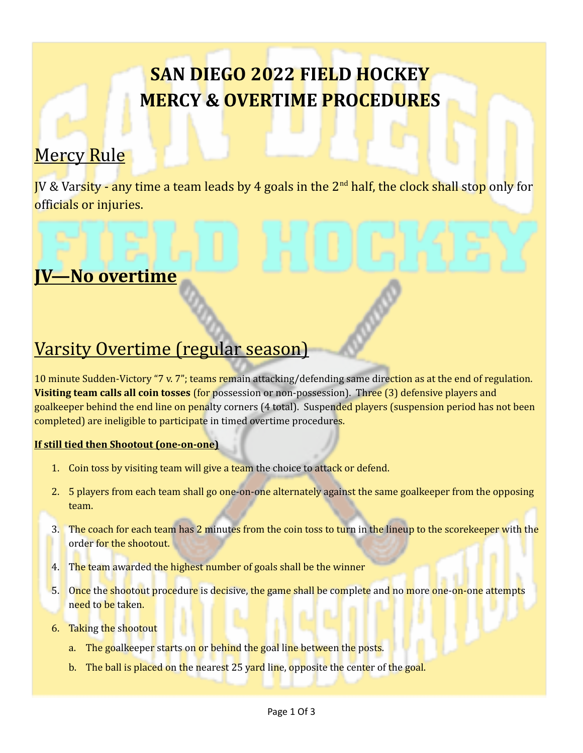# **SAN DIEGO 2022 FIELD HOCKEY MERCY & OVERTIME PROCEDURES**

### Mercy Rule

JV & Varsity - any time a team leads by 4 goals in the 2<sup>nd</sup> half, the clock shall stop only for officials or injuries.

### **JV—No overtime**

### Varsity Overtime (regular season)

10 minute Sudden-Victory "7 v. 7"; teams remain attacking/defending same direction as at the end of regulation. **Visiting team calls all coin tosses** (for possession or non-possession). Three (3) defensive players and goalkeeper behind the end line on penalty corners (4 total). Suspended players (suspension period has not been completed) are ineligible to participate in timed overtime procedures.

#### **If still tied then Shootout (one-on-one)**

- 1. Coin toss by visiting team will give a team the choice to attack or defend.
- 2. 5 players from each team shall go one-on-one alternately against the same goalkeeper from the opposing team.
- 3. The coach for each team has 2 minutes from the coin toss to turn in the lineup to the scorekeeper with the order for the shootout.
- 4. The team awarded the highest number of goals shall be the winner
- 5. Once the shootout procedure is decisive, the game shall be complete and no more one-on-one attempts need to be taken.
- 6. Taking the shootout
	- a. The goalkeeper starts on or behind the goal line between the posts.
	- b. The ball is placed on the nearest 25 yard line, opposite the center of the goal.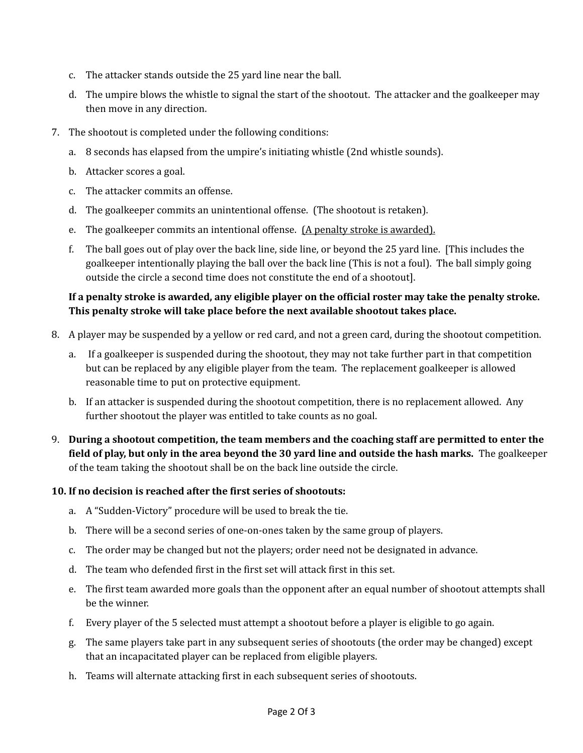- c. The attacker stands outside the 25 yard line near the ball.
- d. The umpire blows the whistle to signal the start of the shootout. The attacker and the goalkeeper may then move in any direction.
- 7. The shootout is completed under the following conditions:
	- a. 8 seconds has elapsed from the umpire's initiating whistle (2nd whistle sounds).
	- b. Attacker scores a goal.
	- c. The attacker commits an offense.
	- d. The goalkeeper commits an unintentional offense. (The shootout is retaken).
	- e. The goalkeeper commits an intentional offense. (A penalty stroke is awarded).
	- f. The ball goes out of play over the back line, side line, or beyond the 25 yard line. [This includes the goalkeeper intentionally playing the ball over the back line (This is not a foul). The ball simply going outside the circle a second time does not constitute the end of a shootout].

#### **If a penalty stroke is awarded, any eligible player on the official roster may take the penalty stroke. This penalty stroke will take place before the next available shootout takes place.**

- 8. A player may be suspended by a yellow or red card, and not a green card, during the shootout competition.
	- a. If a goalkeeper is suspended during the shootout, they may not take further part in that competition but can be replaced by any eligible player from the team. The replacement goalkeeper is allowed reasonable time to put on protective equipment.
	- b. If an attacker is suspended during the shootout competition, there is no replacement allowed. Any further shootout the player was entitled to take counts as no goal.
- 9. **During a shootout competition, the team members and the coaching staff are permitted to enter the field of play, but only in the area beyond the 30 yard line and outside the hash marks.** The goalkeeper of the team taking the shootout shall be on the back line outside the circle.

#### **10. If no decision is reached after the first series of shootouts:**

- a. A "Sudden-Victory" procedure will be used to break the tie.
- b. There will be a second series of one-on-ones taken by the same group of players.
- c. The order may be changed but not the players; order need not be designated in advance.
- d. The team who defended first in the first set will attack first in this set.
- e. The first team awarded more goals than the opponent after an equal number of shootout attempts shall be the winner.
- f. Every player of the 5 selected must attempt a shootout before a player is eligible to go again.
- g. The same players take part in any subsequent series of shootouts (the order may be changed) except that an incapacitated player can be replaced from eligible players.
- h. Teams will alternate attacking first in each subsequent series of shootouts.